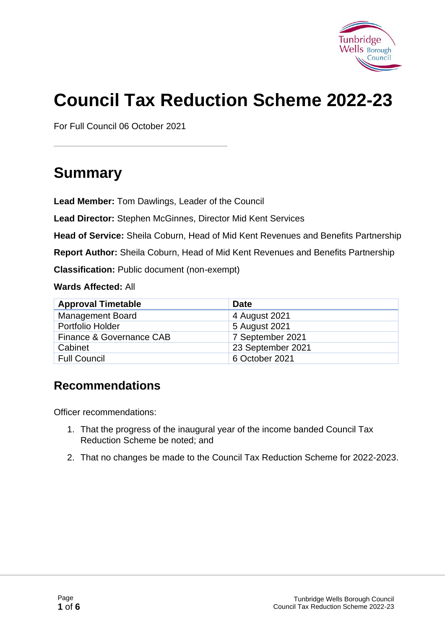

# **Council Tax Reduction Scheme 2022-23**

For Full Council 06 October 2021

# **Summary**

**Lead Member:** Tom Dawlings, Leader of the Council

**Lead Director:** Stephen McGinnes, Director Mid Kent Services

**Head of Service:** Sheila Coburn, Head of Mid Kent Revenues and Benefits Partnership

**Report Author:** Sheila Coburn, Head of Mid Kent Revenues and Benefits Partnership

**Classification:** Public document (non-exempt)

**Wards Affected:** All

| <b>Approval Timetable</b> | <b>Date</b>       |
|---------------------------|-------------------|
| <b>Management Board</b>   | 4 August 2021     |
| Portfolio Holder          | 5 August 2021     |
| Finance & Governance CAB  | 7 September 2021  |
| Cabinet                   | 23 September 2021 |
| <b>Full Council</b>       | 6 October 2021    |

#### **Recommendations**

Officer recommendations:

- 1. That the progress of the inaugural year of the income banded Council Tax Reduction Scheme be noted; and
- 2. That no changes be made to the Council Tax Reduction Scheme for 2022-2023.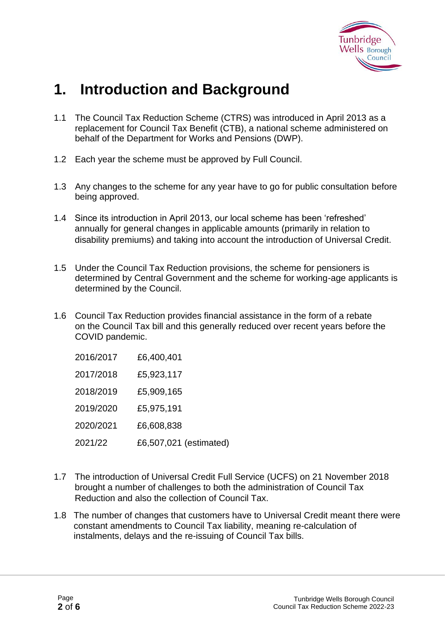

# **1. Introduction and Background**

- 1.1 The Council Tax Reduction Scheme (CTRS) was introduced in April 2013 as a replacement for Council Tax Benefit (CTB), a national scheme administered on behalf of the Department for Works and Pensions (DWP).
- 1.2 Each year the scheme must be approved by Full Council.
- 1.3 Any changes to the scheme for any year have to go for public consultation before being approved.
- 1.4 Since its introduction in April 2013, our local scheme has been 'refreshed' annually for general changes in applicable amounts (primarily in relation to disability premiums) and taking into account the introduction of Universal Credit.
- 1.5 Under the Council Tax Reduction provisions, the scheme for pensioners is determined by Central Government and the scheme for working-age applicants is determined by the Council.
- 1.6 Council Tax Reduction provides financial assistance in the form of a rebate on the Council Tax bill and this generally reduced over recent years before the COVID pandemic.

| 2016/2017 | £6,400,401             |
|-----------|------------------------|
| 2017/2018 | £5,923,117             |
| 2018/2019 | £5,909,165             |
| 2019/2020 | £5,975,191             |
| 2020/2021 | £6,608,838             |
| 2021/22   | £6,507,021 (estimated) |

- 1.7 The introduction of Universal Credit Full Service (UCFS) on 21 November 2018 brought a number of challenges to both the administration of Council Tax Reduction and also the collection of Council Tax.
- 1.8 The number of changes that customers have to Universal Credit meant there were constant amendments to Council Tax liability, meaning re-calculation of instalments, delays and the re-issuing of Council Tax bills.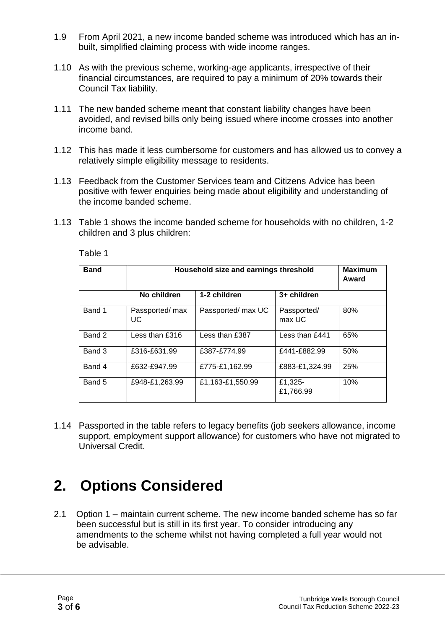- 1.9 From April 2021, a new income banded scheme was introduced which has an in built, simplified claiming process with wide income ranges.
- 1.10 As with the previous scheme, working-age applicants, irrespective of their financial circumstances, are required to pay a minimum of 20% towards their Council Tax liability.
- 1.11 The new banded scheme meant that constant liability changes have been avoided, and revised bills only being issued where income crosses into another income band.
- 1.12 This has made it less cumbersome for customers and has allowed us to convey a relatively simple eligibility message to residents.
- 1.13 Feedback from the Customer Services team and Citizens Advice has been positive with fewer enquiries being made about eligibility and understanding of the income banded scheme.
- 1.13 Table 1 shows the income banded scheme for households with no children, 1-2 children and 3 plus children:

| <b>Band</b> | Household size and earnings threshold |                    |                       | <b>Maximum</b><br>Award |
|-------------|---------------------------------------|--------------------|-----------------------|-------------------------|
|             | No children                           | 1-2 children       | 3+ children           |                         |
| Band 1      | Passported/ max<br><b>UC</b>          | Passported/ max UC | Passported/<br>max UC | 80%                     |
| Band 2      | Less than $£316$                      | Less than £387     | Less than $f$ 441     | 65%                     |
| Band 3      | £316-£631.99                          | £387-£774.99       | £441-£882.99          | 50%                     |
| Band 4      | £632-£947.99                          | £775-£1,162.99     | £883-£1,324.99        | 25%                     |
| Band 5      | £948-£1.263.99                        | £1,163-£1,550.99   | £1,325-<br>£1,766.99  | 10%                     |

Table 1

1.14 Passported in the table refers to legacy benefits (job seekers allowance, income support, employment support allowance) for customers who have not migrated to Universal Credit.

# **2. Options Considered**

2.1 Option 1 – maintain current scheme. The new income banded scheme has so far been successful but is still in its first year. To consider introducing any amendments to the scheme whilst not having completed a full year would not be advisable.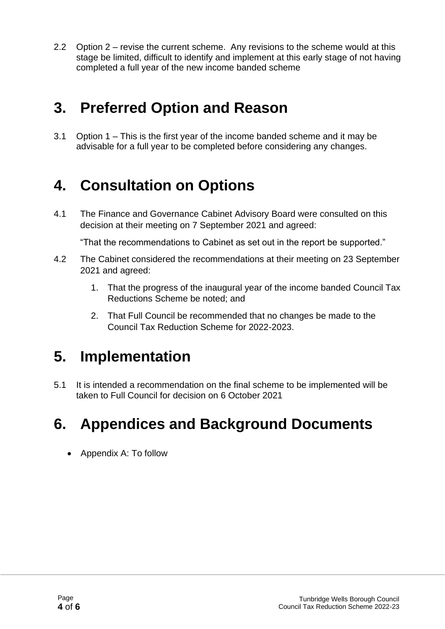2.2 Option 2 – revise the current scheme. Any revisions to the scheme would at this stage be limited, difficult to identify and implement at this early stage of not having completed a full year of the new income banded scheme

# **3. Preferred Option and Reason**

3.1 Option 1 – This is the first year of the income banded scheme and it may be advisable for a full year to be completed before considering any changes.

# **4. Consultation on Options**

4.1 The Finance and Governance Cabinet Advisory Board were consulted on this decision at their meeting on 7 September 2021 and agreed:

"That the recommendations to Cabinet as set out in the report be supported."

- 4.2 The Cabinet considered the recommendations at their meeting on 23 September 2021 and agreed:
	- 1. That the progress of the inaugural year of the income banded Council Tax Reductions Scheme be noted; and
	- 2. That Full Council be recommended that no changes be made to the Council Tax Reduction Scheme for 2022-2023.

### **5. Implementation**

5.1 It is intended a recommendation on the final scheme to be implemented will be taken to Full Council for decision on 6 October 2021

### **6. Appendices and Background Documents**

• Appendix A: To follow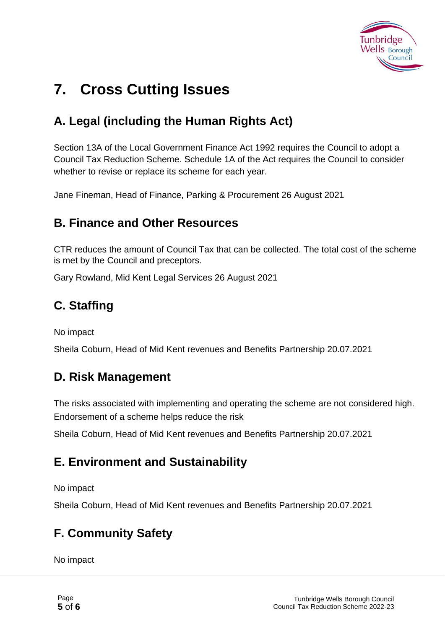

# **7. Cross Cutting Issues**

### **A. Legal (including the Human Rights Act)**

Section 13A of the Local Government Finance Act 1992 requires the Council to adopt a Council Tax Reduction Scheme. Schedule 1A of the Act requires the Council to consider whether to revise or replace its scheme for each year.

Jane Fineman, Head of Finance, Parking & Procurement 26 August 2021

#### **B. Finance and Other Resources**

CTR reduces the amount of Council Tax that can be collected. The total cost of the scheme is met by the Council and preceptors.

Gary Rowland, Mid Kent Legal Services 26 August 2021

### **C. Staffing**

No impact

Sheila Coburn, Head of Mid Kent revenues and Benefits Partnership 20.07.2021

#### **D. Risk Management**

The risks associated with implementing and operating the scheme are not considered high. Endorsement of a scheme helps reduce the risk

Sheila Coburn, Head of Mid Kent revenues and Benefits Partnership 20.07.2021

#### **E. Environment and Sustainability**

No impact

Sheila Coburn, Head of Mid Kent revenues and Benefits Partnership 20.07.2021

### **F. Community Safety**

No impact